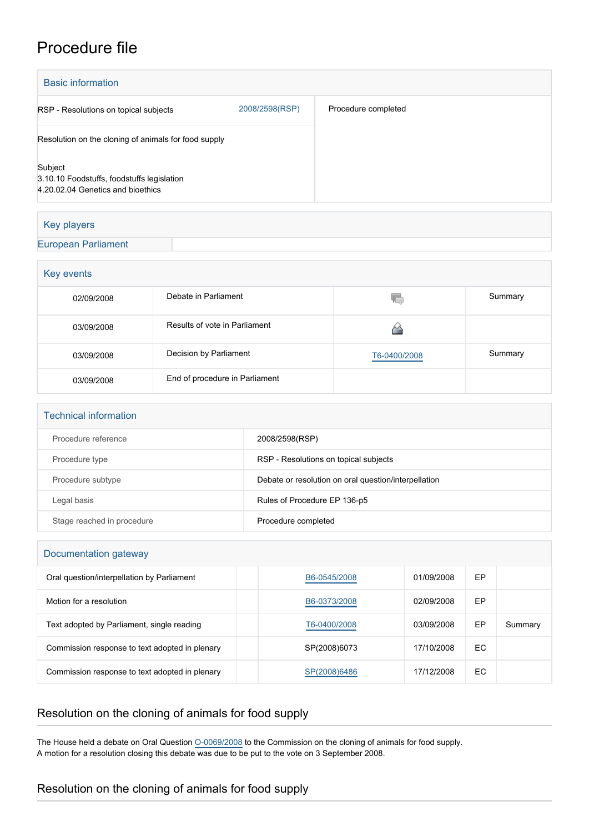## Procedure file

| <b>Basic information</b>                                                                   |                |                     |
|--------------------------------------------------------------------------------------------|----------------|---------------------|
| RSP - Resolutions on topical subjects                                                      | 2008/2598(RSP) | Procedure completed |
| Resolution on the cloning of animals for food supply                                       |                |                     |
| Subject<br>3.10.10 Foodstuffs, foodstuffs legislation<br>4.20.02.04 Genetics and bioethics |                |                     |
|                                                                                            |                |                     |

### Key players

### [European Parliament](http://www.europarl.europa.eu/)

| Key events |                                |              |         |  |  |  |
|------------|--------------------------------|--------------|---------|--|--|--|
| 02/09/2008 | Debate in Parliament           | 46.          | Summary |  |  |  |
| 03/09/2008 | Results of vote in Parliament  |              |         |  |  |  |
| 03/09/2008 | Decision by Parliament         | T6-0400/2008 | Summary |  |  |  |
| 03/09/2008 | End of procedure in Parliament |              |         |  |  |  |

# Technical information Procedure reference 2008/2598(RSP) Procedure type **RSP** - Resolutions on topical subjects Procedure subtype **Debate or resolution on oral question/interpellation** Legal basis **Example 2** Rules of Procedure EP 136-p5

#### Documentation gateway

| Oral question/interpellation by Parliament     | B6-0545/2008 | 01/09/2008 | EP |         |
|------------------------------------------------|--------------|------------|----|---------|
| Motion for a resolution                        | B6-0373/2008 | 02/09/2008 | EP |         |
| Text adopted by Parliament, single reading     | T6-0400/2008 | 03/09/2008 | EP | Summary |
| Commission response to text adopted in plenary | SP(2008)6073 | 17/10/2008 | EC |         |
| Commission response to text adopted in plenary | SP(2008)6486 | 17/12/2008 | EC |         |

## Resolution on the cloning of animals for food supply

Stage reached in procedure **Procedure Procedure Completed** 

The House held a debate on Oral Question [O-0069/2008](http://www.europarl.europa.eu/sides/getDoc.do?type=OQ&language=EN&reference=O-2008-0069&secondRef=0) to the Commission on the cloning of animals for food supply. A motion for a resolution closing this debate was due to be put to the vote on 3 September 2008.

### Resolution on the cloning of animals for food supply